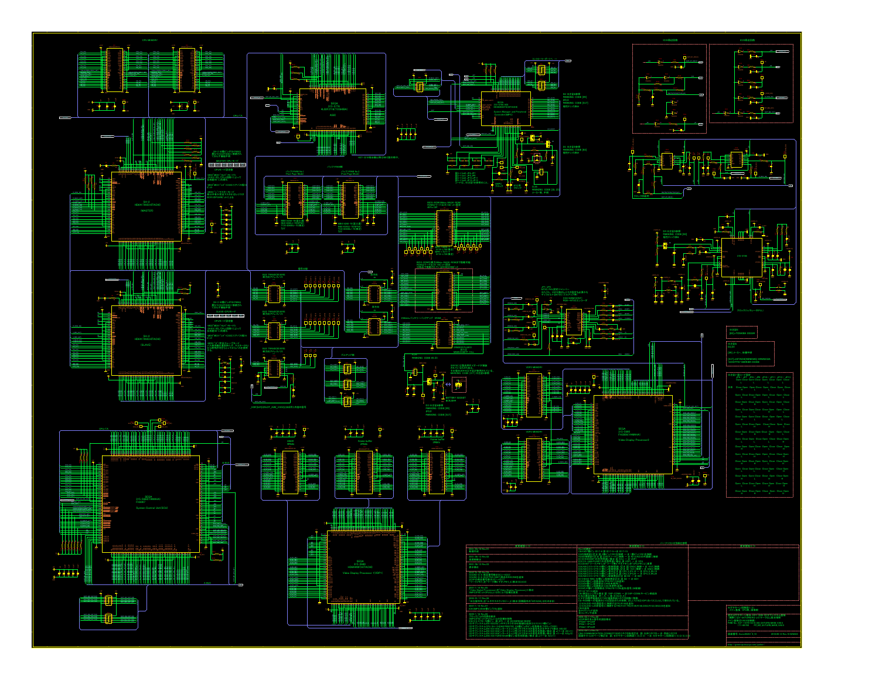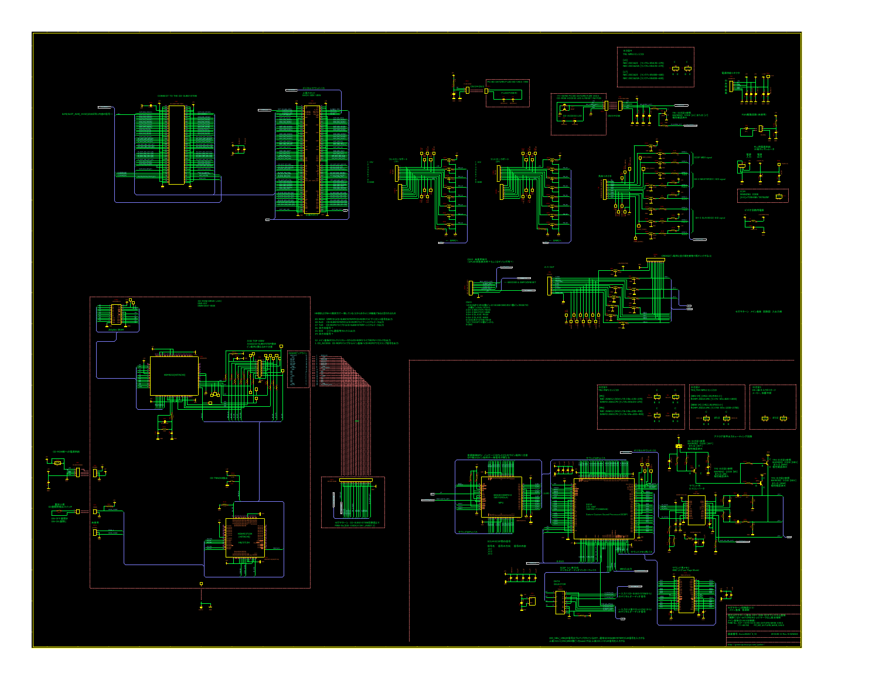